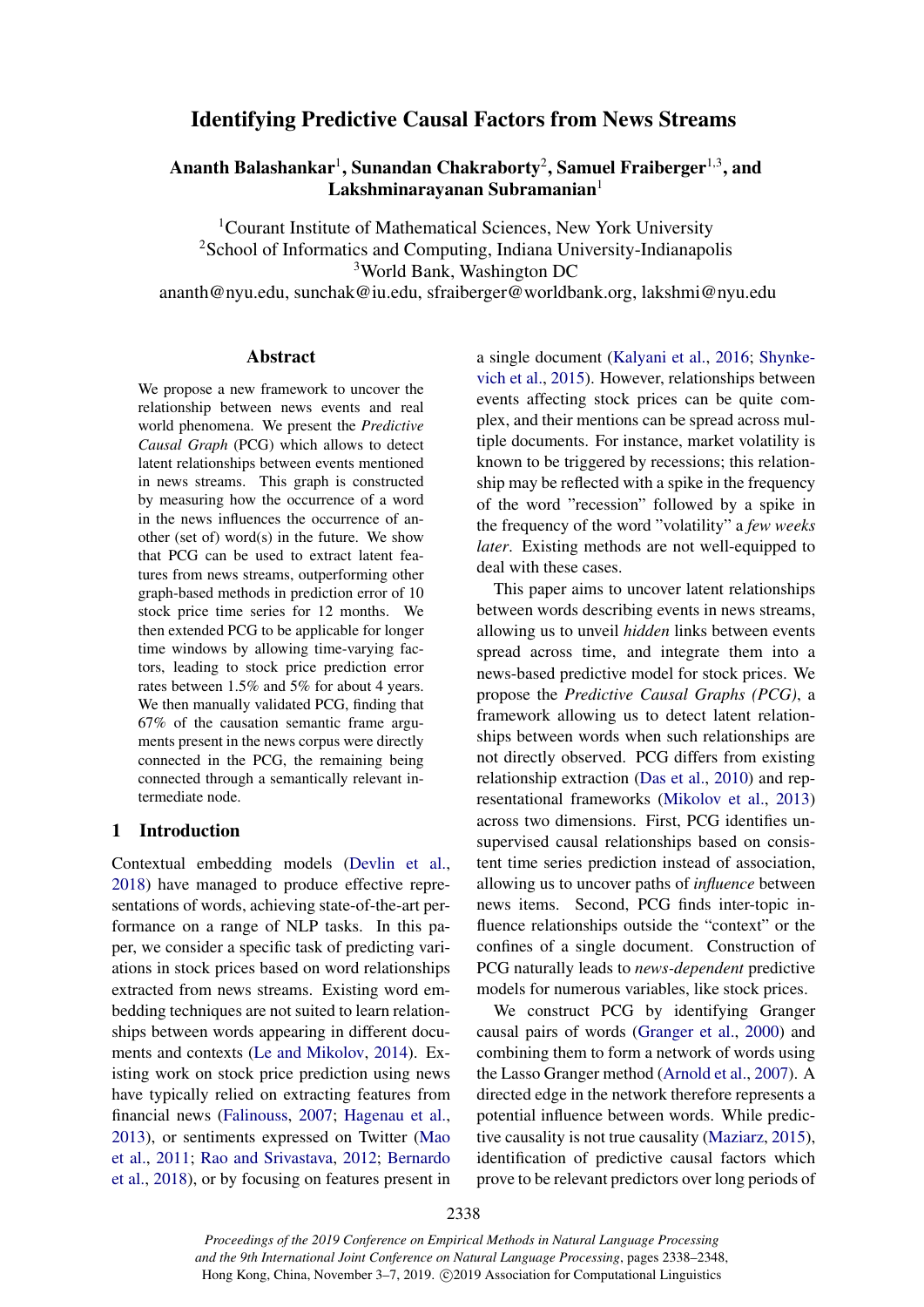# Identifying Predictive Causal Factors from News Streams

# Ananth Balashankar<sup>1</sup>, Sunandan Chakraborty<sup>2</sup>, Samuel Fraiberger<sup>1,3</sup>, and Lakshminarayanan Subramanian $1$

<sup>1</sup>Courant Institute of Mathematical Sciences, New York University <sup>2</sup>School of Informatics and Computing, Indiana University-Indianapolis <sup>3</sup>World Bank, Washington DC ananth@nyu.edu, sunchak@iu.edu, sfraiberger@worldbank.org, lakshmi@nyu.edu

### Abstract

We propose a new framework to uncover the relationship between news events and real world phenomena. We present the *Predictive Causal Graph* (PCG) which allows to detect latent relationships between events mentioned in news streams. This graph is constructed by measuring how the occurrence of a word in the news influences the occurrence of another (set of) word(s) in the future. We show that PCG can be used to extract latent features from news streams, outperforming other graph-based methods in prediction error of 10 stock price time series for 12 months. We then extended PCG to be applicable for longer time windows by allowing time-varying factors, leading to stock price prediction error rates between 1.5% and 5% for about 4 years. We then manually validated PCG, finding that 67% of the causation semantic frame arguments present in the news corpus were directly connected in the PCG, the remaining being connected through a semantically relevant intermediate node.

# 1 Introduction

Contextual embedding models [\(Devlin et al.,](#page-8-0) [2018\)](#page-8-0) have managed to produce effective representations of words, achieving state-of-the-art performance on a range of NLP tasks. In this paper, we consider a specific task of predicting variations in stock prices based on word relationships extracted from news streams. Existing word embedding techniques are not suited to learn relationships between words appearing in different documents and contexts [\(Le and Mikolov,](#page-9-0) [2014\)](#page-9-0). Existing work on stock price prediction using news have typically relied on extracting features from financial news [\(Falinouss,](#page-8-1) [2007;](#page-8-1) [Hagenau et al.,](#page-9-1) [2013\)](#page-9-1), or sentiments expressed on Twitter [\(Mao](#page-9-2) [et al.,](#page-9-2) [2011;](#page-9-2) [Rao and Srivastava,](#page-9-3) [2012;](#page-9-3) [Bernardo](#page-8-2) [et al.,](#page-8-2) [2018\)](#page-8-2), or by focusing on features present in a single document [\(Kalyani et al.,](#page-9-4) [2016;](#page-9-4) [Shynke](#page-10-0)[vich et al.,](#page-10-0) [2015\)](#page-10-0). However, relationships between events affecting stock prices can be quite complex, and their mentions can be spread across multiple documents. For instance, market volatility is known to be triggered by recessions; this relationship may be reflected with a spike in the frequency of the word "recession" followed by a spike in the frequency of the word "volatility" a *few weeks later*. Existing methods are not well-equipped to deal with these cases.

This paper aims to uncover latent relationships between words describing events in news streams, allowing us to unveil *hidden* links between events spread across time, and integrate them into a news-based predictive model for stock prices. We propose the *Predictive Causal Graphs (PCG)*, a framework allowing us to detect latent relationships between words when such relationships are not directly observed. PCG differs from existing relationship extraction [\(Das et al.,](#page-8-3) [2010\)](#page-8-3) and representational frameworks [\(Mikolov et al.,](#page-9-5) [2013\)](#page-9-5) across two dimensions. First, PCG identifies unsupervised causal relationships based on consistent time series prediction instead of association, allowing us to uncover paths of *influence* between news items. Second, PCG finds inter-topic influence relationships outside the "context" or the confines of a single document. Construction of PCG naturally leads to *news-dependent* predictive models for numerous variables, like stock prices.

We construct PCG by identifying Granger causal pairs of words [\(Granger et al.,](#page-9-6) [2000\)](#page-9-6) and combining them to form a network of words using the Lasso Granger method [\(Arnold et al.,](#page-8-4) [2007\)](#page-8-4). A directed edge in the network therefore represents a potential influence between words. While predictive causality is not true causality [\(Maziarz,](#page-9-7) [2015\)](#page-9-7), identification of predictive causal factors which prove to be relevant predictors over long periods of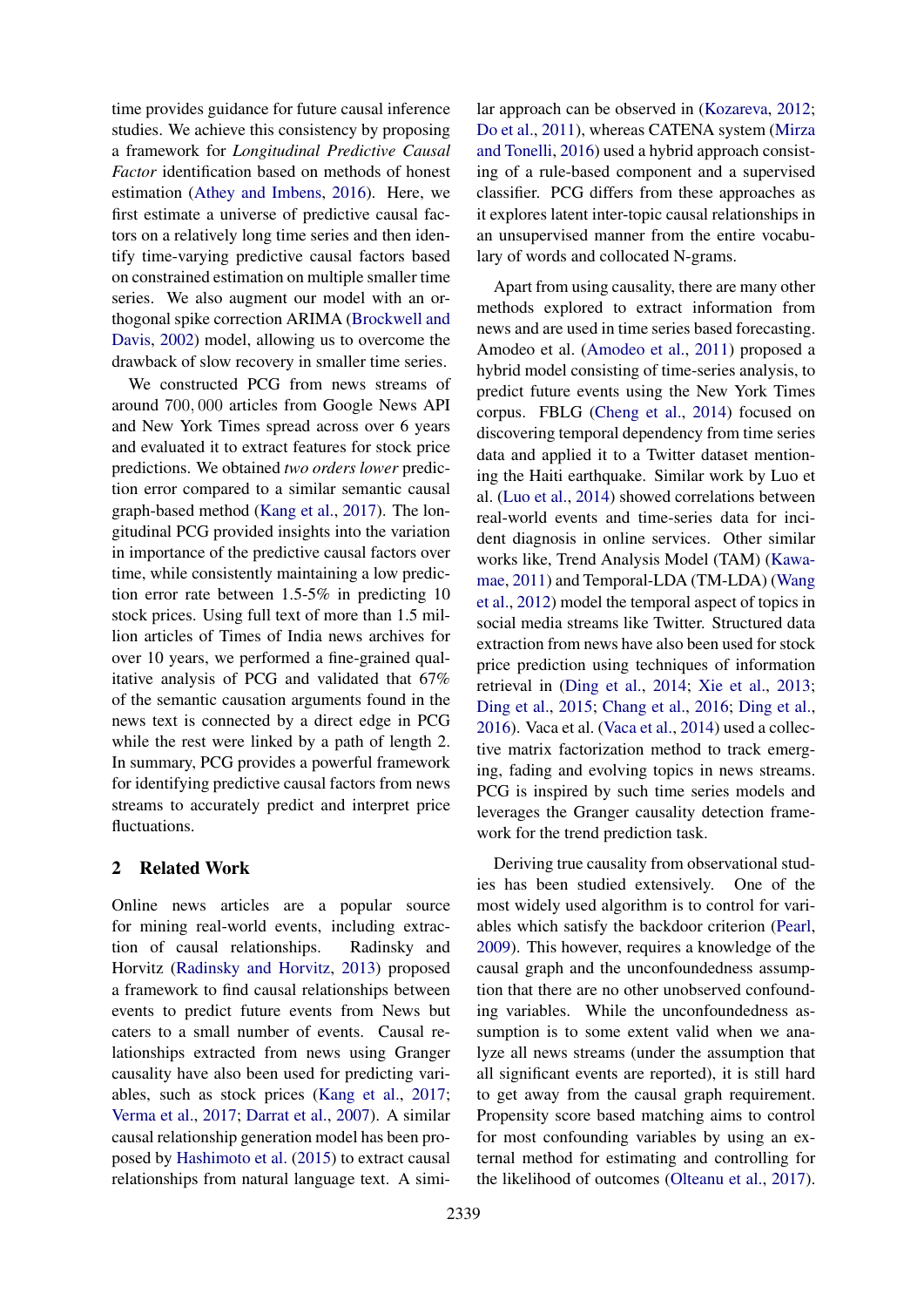time provides guidance for future causal inference studies. We achieve this consistency by proposing a framework for *Longitudinal Predictive Causal Factor* identification based on methods of honest estimation [\(Athey and Imbens,](#page-8-5) [2016\)](#page-8-5). Here, we first estimate a universe of predictive causal factors on a relatively long time series and then identify time-varying predictive causal factors based on constrained estimation on multiple smaller time series. We also augment our model with an orthogonal spike correction ARIMA [\(Brockwell and](#page-8-6) [Davis,](#page-8-6) [2002\)](#page-8-6) model, allowing us to overcome the drawback of slow recovery in smaller time series.

We constructed PCG from news streams of around 700, 000 articles from Google News API and New York Times spread across over 6 years and evaluated it to extract features for stock price predictions. We obtained *two orders lower* prediction error compared to a similar semantic causal graph-based method [\(Kang et al.,](#page-9-8) [2017\)](#page-9-8). The longitudinal PCG provided insights into the variation in importance of the predictive causal factors over time, while consistently maintaining a low prediction error rate between 1.5-5% in predicting 10 stock prices. Using full text of more than 1.5 million articles of Times of India news archives for over 10 years, we performed a fine-grained qualitative analysis of PCG and validated that 67% of the semantic causation arguments found in the news text is connected by a direct edge in PCG while the rest were linked by a path of length 2. In summary, PCG provides a powerful framework for identifying predictive causal factors from news streams to accurately predict and interpret price fluctuations.

# 2 Related Work

Online news articles are a popular source for mining real-world events, including extraction of causal relationships. Radinsky and Horvitz [\(Radinsky and Horvitz,](#page-9-9) [2013\)](#page-9-9) proposed a framework to find causal relationships between events to predict future events from News but caters to a small number of events. Causal relationships extracted from news using Granger causality have also been used for predicting variables, such as stock prices [\(Kang et al.,](#page-9-8) [2017;](#page-9-8) [Verma et al.,](#page-10-1) [2017;](#page-10-1) [Darrat et al.,](#page-8-7) [2007\)](#page-8-7). A similar causal relationship generation model has been proposed by [Hashimoto et al.](#page-9-10) [\(2015\)](#page-9-10) to extract causal relationships from natural language text. A simi-

lar approach can be observed in [\(Kozareva,](#page-9-11) [2012;](#page-9-11) [Do et al.,](#page-8-8) [2011\)](#page-8-8), whereas CATENA system [\(Mirza](#page-9-12) [and Tonelli,](#page-9-12) [2016\)](#page-9-12) used a hybrid approach consisting of a rule-based component and a supervised classifier. PCG differs from these approaches as it explores latent inter-topic causal relationships in an unsupervised manner from the entire vocabulary of words and collocated N-grams.

Apart from using causality, there are many other methods explored to extract information from news and are used in time series based forecasting. Amodeo et al. [\(Amodeo et al.,](#page-8-9) [2011\)](#page-8-9) proposed a hybrid model consisting of time-series analysis, to predict future events using the New York Times corpus. FBLG [\(Cheng et al.,](#page-8-10) [2014\)](#page-8-10) focused on discovering temporal dependency from time series data and applied it to a Twitter dataset mentioning the Haiti earthquake. Similar work by Luo et al. [\(Luo et al.,](#page-9-13) [2014\)](#page-9-13) showed correlations between real-world events and time-series data for incident diagnosis in online services. Other similar works like, Trend Analysis Model (TAM) [\(Kawa](#page-9-14)[mae,](#page-9-14) [2011\)](#page-9-14) and Temporal-LDA (TM-LDA) [\(Wang](#page-10-2) [et al.,](#page-10-2) [2012\)](#page-10-2) model the temporal aspect of topics in social media streams like Twitter. Structured data extraction from news have also been used for stock price prediction using techniques of information retrieval in [\(Ding et al.,](#page-8-11) [2014;](#page-8-11) [Xie et al.,](#page-10-3) [2013;](#page-10-3) [Ding et al.,](#page-8-12) [2015;](#page-8-12) [Chang et al.,](#page-8-13) [2016;](#page-8-13) [Ding et al.,](#page-8-14) [2016\)](#page-8-14). Vaca et al. [\(Vaca et al.,](#page-10-4) [2014\)](#page-10-4) used a collective matrix factorization method to track emerging, fading and evolving topics in news streams. PCG is inspired by such time series models and leverages the Granger causality detection framework for the trend prediction task.

Deriving true causality from observational studies has been studied extensively. One of the most widely used algorithm is to control for variables which satisfy the backdoor criterion [\(Pearl,](#page-9-15) [2009\)](#page-9-15). This however, requires a knowledge of the causal graph and the unconfoundedness assumption that there are no other unobserved confounding variables. While the unconfoundedness assumption is to some extent valid when we analyze all news streams (under the assumption that all significant events are reported), it is still hard to get away from the causal graph requirement. Propensity score based matching aims to control for most confounding variables by using an external method for estimating and controlling for the likelihood of outcomes [\(Olteanu et al.,](#page-9-16) [2017\)](#page-9-16).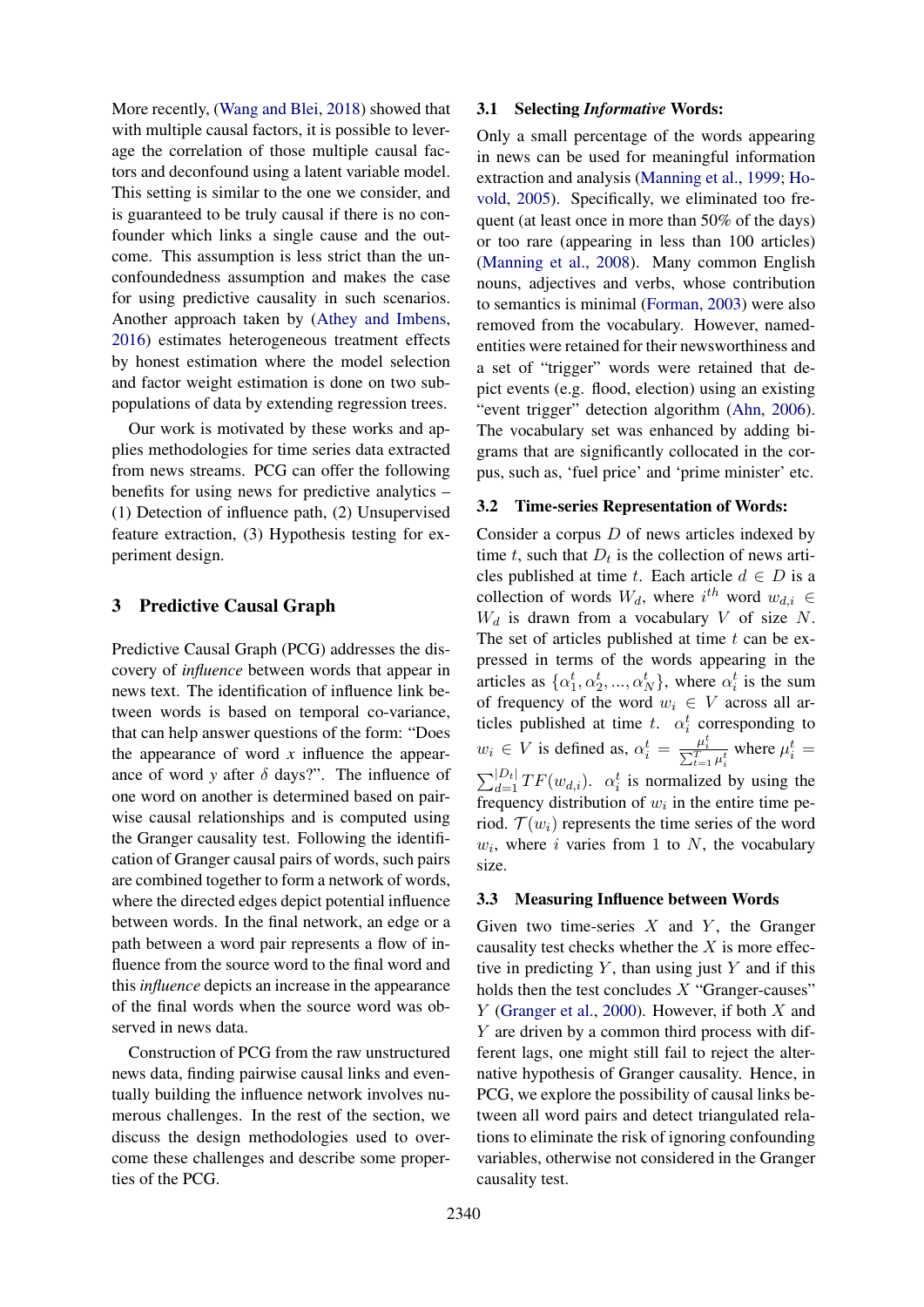More recently, [\(Wang and Blei,](#page-10-5) [2018\)](#page-10-5) showed that with multiple causal factors, it is possible to leverage the correlation of those multiple causal factors and deconfound using a latent variable model. This setting is similar to the one we consider, and is guaranteed to be truly causal if there is no confounder which links a single cause and the outcome. This assumption is less strict than the unconfoundedness assumption and makes the case for using predictive causality in such scenarios. Another approach taken by [\(Athey and Imbens,](#page-8-5) [2016\)](#page-8-5) estimates heterogeneous treatment effects by honest estimation where the model selection and factor weight estimation is done on two subpopulations of data by extending regression trees.

Our work is motivated by these works and applies methodologies for time series data extracted from news streams. PCG can offer the following benefits for using news for predictive analytics – (1) Detection of influence path, (2) Unsupervised feature extraction, (3) Hypothesis testing for experiment design.

# 3 Predictive Causal Graph

Predictive Causal Graph (PCG) addresses the discovery of *influence* between words that appear in news text. The identification of influence link between words is based on temporal co-variance, that can help answer questions of the form: "Does the appearance of word *x* influence the appearance of word *y* after  $\delta$  days?". The influence of one word on another is determined based on pairwise causal relationships and is computed using the Granger causality test. Following the identification of Granger causal pairs of words, such pairs are combined together to form a network of words, where the directed edges depict potential influence between words. In the final network, an edge or a path between a word pair represents a flow of influence from the source word to the final word and this *influence* depicts an increase in the appearance of the final words when the source word was observed in news data.

Construction of PCG from the raw unstructured news data, finding pairwise causal links and eventually building the influence network involves numerous challenges. In the rest of the section, we discuss the design methodologies used to overcome these challenges and describe some properties of the PCG.

### 3.1 Selecting *Informative* Words:

Only a small percentage of the words appearing in news can be used for meaningful information extraction and analysis [\(Manning et al.,](#page-9-17) [1999;](#page-9-17) [Ho](#page-9-18)[vold,](#page-9-18) [2005\)](#page-9-18). Specifically, we eliminated too frequent (at least once in more than 50% of the days) or too rare (appearing in less than 100 articles) [\(Manning et al.,](#page-9-19) [2008\)](#page-9-19). Many common English nouns, adjectives and verbs, whose contribution to semantics is minimal [\(Forman,](#page-8-15) [2003\)](#page-8-15) were also removed from the vocabulary. However, namedentities were retained for their newsworthiness and a set of "trigger" words were retained that depict events (e.g. flood, election) using an existing "event trigger" detection algorithm [\(Ahn,](#page-8-16) [2006\)](#page-8-16). The vocabulary set was enhanced by adding bigrams that are significantly collocated in the corpus, such as, 'fuel price' and 'prime minister' etc.

### 3.2 Time-series Representation of Words:

Consider a corpus  $D$  of news articles indexed by time t, such that  $D_t$  is the collection of news articles published at time t. Each article  $d \in D$  is a collection of words  $W_d$ , where  $i^{th}$  word  $w_{d,i} \in$  $W_d$  is drawn from a vocabulary V of size N. The set of articles published at time  $t$  can be expressed in terms of the words appearing in the articles as  $\{\alpha_1^t, \alpha_2^t, ..., \alpha_N^t\}$ , where  $\alpha_i^t$  is the sum of frequency of the word  $w_i \in V$  across all articles published at time t.  $\alpha_i^t$  corresponding to  $w_i \in V$  is defined as,  $\alpha_i^t = \frac{\mu_i^t}{\sum_{t=1}^T \mu_i^t}$  where  $\mu_i^t =$  $\sum_{d=1}^{|D_t|} TF(w_{d,i})$ .  $\alpha_i^t$  is normalized by using the frequency distribution of  $w_i$  in the entire time period.  $\mathcal{T}(w_i)$  represents the time series of the word  $w_i$ , where i varies from 1 to N, the vocabulary size.

# 3.3 Measuring Influence between Words

Given two time-series  $X$  and  $Y$ , the Granger causality test checks whether the  $X$  is more effective in predicting  $Y$ , than using just  $Y$  and if this holds then the test concludes  $X$  "Granger-causes"  $Y$  [\(Granger et al.,](#page-9-6) [2000\)](#page-9-6). However, if both  $X$  and Y are driven by a common third process with different lags, one might still fail to reject the alternative hypothesis of Granger causality. Hence, in PCG, we explore the possibility of causal links between all word pairs and detect triangulated relations to eliminate the risk of ignoring confounding variables, otherwise not considered in the Granger causality test.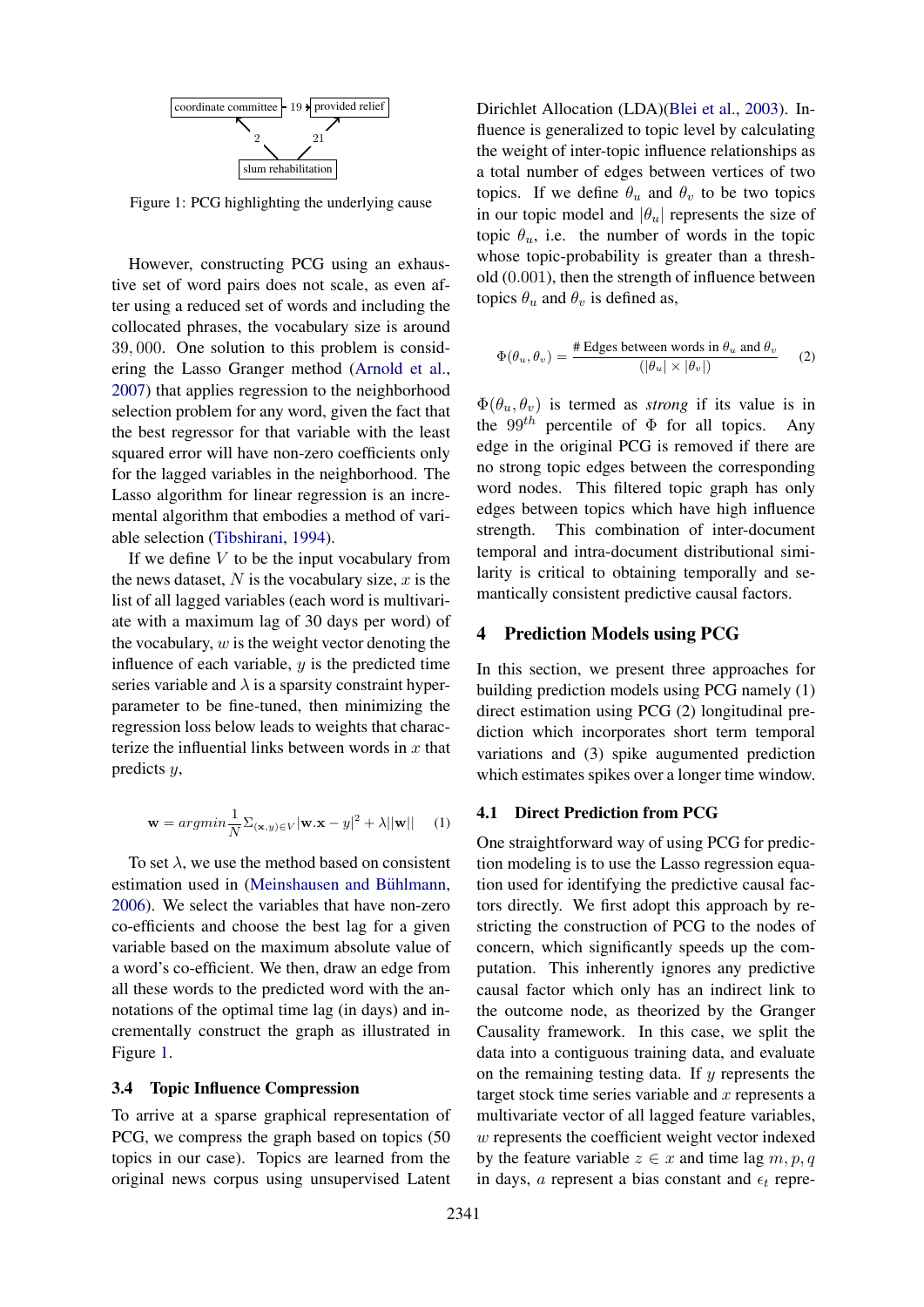<span id="page-3-0"></span>

Figure 1: PCG highlighting the underlying cause

However, constructing PCG using an exhaustive set of word pairs does not scale, as even after using a reduced set of words and including the collocated phrases, the vocabulary size is around 39, 000. One solution to this problem is considering the Lasso Granger method [\(Arnold et al.,](#page-8-4) [2007\)](#page-8-4) that applies regression to the neighborhood selection problem for any word, given the fact that the best regressor for that variable with the least squared error will have non-zero coefficients only for the lagged variables in the neighborhood. The Lasso algorithm for linear regression is an incremental algorithm that embodies a method of variable selection [\(Tibshirani,](#page-10-6) [1994\)](#page-10-6).

If we define  $V$  to be the input vocabulary from the news dataset,  $N$  is the vocabulary size,  $x$  is the list of all lagged variables (each word is multivariate with a maximum lag of 30 days per word) of the vocabulary,  $w$  is the weight vector denoting the influence of each variable,  $y$  is the predicted time series variable and  $\lambda$  is a sparsity constraint hyperparameter to be fine-tuned, then minimizing the regression loss below leads to weights that characterize the influential links between words in  $x$  that predicts y,

$$
\mathbf{w} = argmin \frac{1}{N} \sum_{(\mathbf{x}, y) \in V} |\mathbf{w} \cdot \mathbf{x} - y|^2 + \lambda ||\mathbf{w}|| \quad (1)
$$

To set  $\lambda$ , we use the method based on consistent estimation used in (Meinshausen and Bühlmann, [2006\)](#page-9-20). We select the variables that have non-zero co-efficients and choose the best lag for a given variable based on the maximum absolute value of a word's co-efficient. We then, draw an edge from all these words to the predicted word with the annotations of the optimal time lag (in days) and incrementally construct the graph as illustrated in Figure [1.](#page-3-0)

#### 3.4 Topic Influence Compression

To arrive at a sparse graphical representation of PCG, we compress the graph based on topics (50 topics in our case). Topics are learned from the original news corpus using unsupervised Latent

Dirichlet Allocation (LDA)[\(Blei et al.,](#page-8-17) [2003\)](#page-8-17). Influence is generalized to topic level by calculating the weight of inter-topic influence relationships as a total number of edges between vertices of two topics. If we define  $\theta_u$  and  $\theta_v$  to be two topics in our topic model and  $|\theta_u|$  represents the size of topic  $\theta_u$ , i.e. the number of words in the topic whose topic-probability is greater than a threshold (0.001), then the strength of influence between topics  $\theta_u$  and  $\theta_v$  is defined as,

$$
\Phi(\theta_u, \theta_v) = \frac{\text{\# Edges between words in } \theta_u \text{ and } \theta_v}{(|\theta_u| \times |\theta_v|)}
$$
 (2)

 $\Phi(\theta_u, \theta_v)$  is termed as *strong* if its value is in the 99<sup>th</sup> percentile of  $\Phi$  for all topics. Any edge in the original PCG is removed if there are no strong topic edges between the corresponding word nodes. This filtered topic graph has only edges between topics which have high influence strength. This combination of inter-document temporal and intra-document distributional similarity is critical to obtaining temporally and semantically consistent predictive causal factors.

#### 4 Prediction Models using PCG

In this section, we present three approaches for building prediction models using PCG namely (1) direct estimation using PCG (2) longitudinal prediction which incorporates short term temporal variations and (3) spike augumented prediction which estimates spikes over a longer time window.

#### 4.1 Direct Prediction from PCG

One straightforward way of using PCG for prediction modeling is to use the Lasso regression equation used for identifying the predictive causal factors directly. We first adopt this approach by restricting the construction of PCG to the nodes of concern, which significantly speeds up the computation. This inherently ignores any predictive causal factor which only has an indirect link to the outcome node, as theorized by the Granger Causality framework. In this case, we split the data into a contiguous training data, and evaluate on the remaining testing data. If  $y$  represents the target stock time series variable and  $x$  represents a multivariate vector of all lagged feature variables, w represents the coefficient weight vector indexed by the feature variable  $z \in x$  and time lag  $m, p, q$ in days, a represent a bias constant and  $\epsilon_t$  repre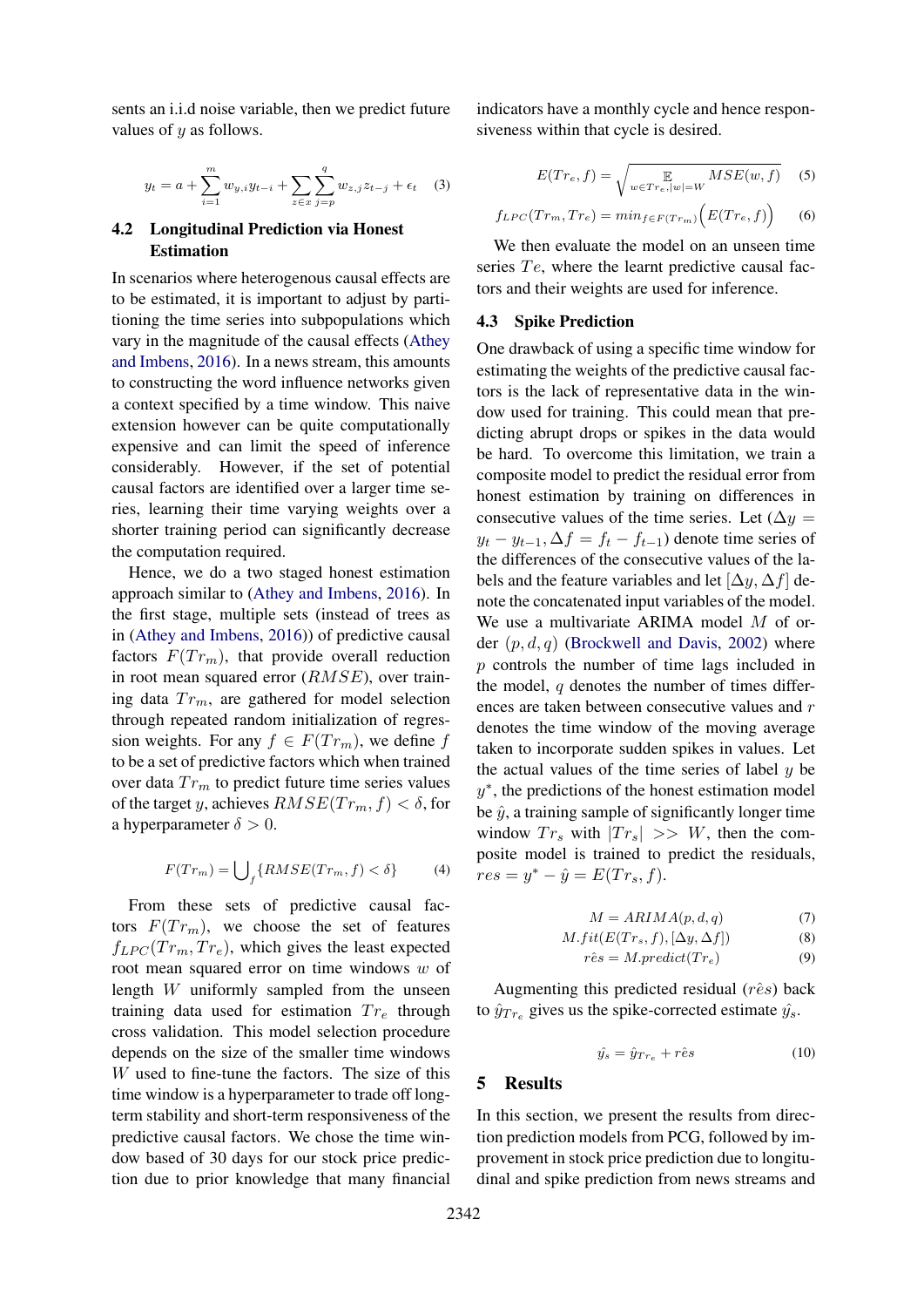sents an i.i.d noise variable, then we predict future values of  $u$  as follows.

$$
y_t = a + \sum_{i=1}^{m} w_{y,i} y_{t-i} + \sum_{z \in x} \sum_{j=p}^{q} w_{z,j} z_{t-j} + \epsilon_t \quad (3)
$$

# 4.2 Longitudinal Prediction via Honest Estimation

In scenarios where heterogenous causal effects are to be estimated, it is important to adjust by partitioning the time series into subpopulations which vary in the magnitude of the causal effects [\(Athey](#page-8-5) [and Imbens,](#page-8-5) [2016\)](#page-8-5). In a news stream, this amounts to constructing the word influence networks given a context specified by a time window. This naive extension however can be quite computationally expensive and can limit the speed of inference considerably. However, if the set of potential causal factors are identified over a larger time series, learning their time varying weights over a shorter training period can significantly decrease the computation required.

Hence, we do a two staged honest estimation approach similar to [\(Athey and Imbens,](#page-8-5) [2016\)](#page-8-5). In the first stage, multiple sets (instead of trees as in [\(Athey and Imbens,](#page-8-5) [2016\)](#page-8-5)) of predictive causal factors  $F(Tr_m)$ , that provide overall reduction in root mean squared error  $(RMSE)$ , over training data  $Tr_m$ , are gathered for model selection through repeated random initialization of regression weights. For any  $f \in F(Tr_m)$ , we define f to be a set of predictive factors which when trained over data  $Tr_m$  to predict future time series values of the target y, achieves  $RMSE(Tr_m, f) < \delta$ , for a hyperparameter  $\delta > 0$ .

$$
F(Tr_m) = \bigcup_{f} \{RMSE(Tr_m, f) < \delta\} \tag{4}
$$

From these sets of predictive causal factors  $F(Tr_m)$ , we choose the set of features  $f_{LPC}(Tr_m, Tr_e)$ , which gives the least expected root mean squared error on time windows w of length W uniformly sampled from the unseen training data used for estimation  $Tr_e$  through cross validation. This model selection procedure depends on the size of the smaller time windows W used to fine-tune the factors. The size of this time window is a hyperparameter to trade off longterm stability and short-term responsiveness of the predictive causal factors. We chose the time window based of 30 days for our stock price prediction due to prior knowledge that many financial

indicators have a monthly cycle and hence responsiveness within that cycle is desired.

$$
E(Tr_e, f) = \sqrt{\mathop{\mathbb{E}}_{w \in Tr_e, |w| = W} MSE(w, f)}
$$
 (5)

 $f_{LPC}(Tr_m, Tr_e) = min_{f \in F(Tr_m)}(E(Tr_e, f))$ (6)

We then evaluate the model on an unseen time series  $Te$ , where the learnt predictive causal factors and their weights are used for inference.

#### 4.3 Spike Prediction

One drawback of using a specific time window for estimating the weights of the predictive causal factors is the lack of representative data in the window used for training. This could mean that predicting abrupt drops or spikes in the data would be hard. To overcome this limitation, we train a composite model to predict the residual error from honest estimation by training on differences in consecutive values of the time series. Let  $(\Delta y =$  $y_t - y_{t-1}, \Delta f = f_t - f_{t-1}$  denote time series of the differences of the consecutive values of the labels and the feature variables and let  $[\Delta y, \Delta f]$  denote the concatenated input variables of the model. We use a multivariate ARIMA model M of order  $(p, d, q)$  [\(Brockwell and Davis,](#page-8-6) [2002\)](#page-8-6) where p controls the number of time lags included in the model,  $q$  denotes the number of times differences are taken between consecutive values and r denotes the time window of the moving average taken to incorporate sudden spikes in values. Let the actual values of the time series of label  $y$  be y ∗ , the predictions of the honest estimation model be  $\hat{y}$ , a training sample of significantly longer time window  $Tr_s$  with  $|Tr_s| \gg W$ , then the composite model is trained to predict the residuals,  $res = y^* - \hat{y} = E(Tr_s, f).$ 

$$
M = ARIMA(p, d, q)
$$
\n<sup>(7)</sup>

$$
M.fit(E(Tr_s, f), [\Delta y, \Delta f])
$$
\n(8)

$$
\hat{res} = M.predict(Tr_e) \tag{9}
$$

Augmenting this predicted residual  $(r\hat{e}s)$  back to  $\hat{y}_{Tr_e}$  gives us the spike-corrected estimate  $\hat{y}_s$ .

$$
\hat{y_s} = \hat{y}_{Tr_e} + r\hat{e}s \tag{10}
$$

## 5 Results

In this section, we present the results from direction prediction models from PCG, followed by improvement in stock price prediction due to longitudinal and spike prediction from news streams and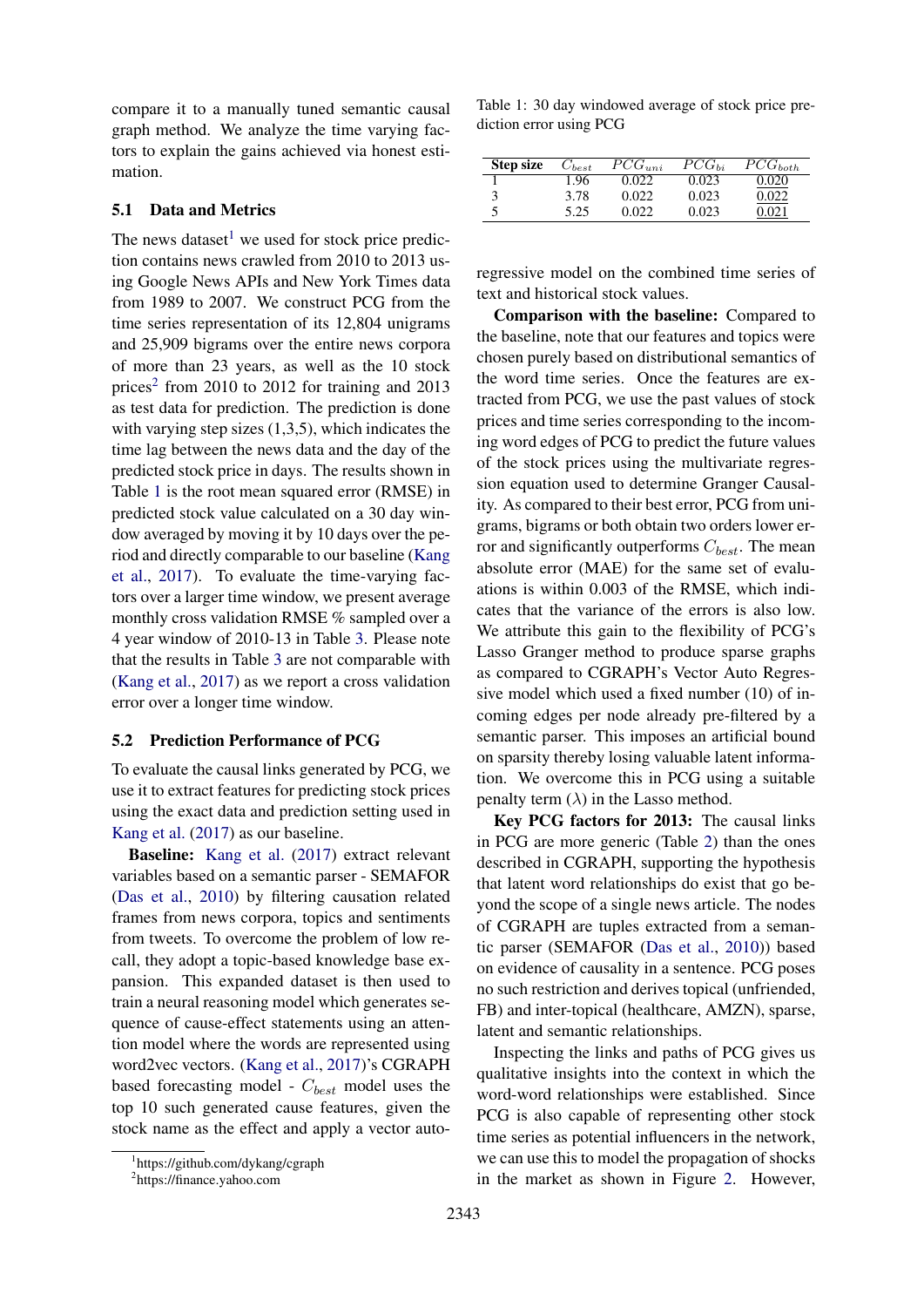compare it to a manually tuned semantic causal graph method. We analyze the time varying factors to explain the gains achieved via honest estimation.

#### 5.1 Data and Metrics

The news dataset<sup>[1](#page-5-0)</sup> we used for stock price prediction contains news crawled from 2010 to 2013 using Google News APIs and New York Times data from 1989 to 2007. We construct PCG from the time series representation of its 12,804 unigrams and 25,909 bigrams over the entire news corpora of more than 23 years, as well as the 10 stock prices<sup>[2](#page-5-1)</sup> from 2010 to 2012 for training and 2013 as test data for prediction. The prediction is done with varying step sizes (1,3,5), which indicates the time lag between the news data and the day of the predicted stock price in days. The results shown in Table [1](#page-5-2) is the root mean squared error (RMSE) in predicted stock value calculated on a 30 day window averaged by moving it by 10 days over the period and directly comparable to our baseline [\(Kang](#page-9-8) [et al.,](#page-9-8) [2017\)](#page-9-8). To evaluate the time-varying factors over a larger time window, we present average monthly cross validation RMSE % sampled over a 4 year window of 2010-13 in Table [3.](#page-7-0) Please note that the results in Table [3](#page-7-0) are not comparable with [\(Kang et al.,](#page-9-8) [2017\)](#page-9-8) as we report a cross validation error over a longer time window.

#### 5.2 Prediction Performance of PCG

To evaluate the causal links generated by PCG, we use it to extract features for predicting stock prices using the exact data and prediction setting used in [Kang et al.](#page-9-8) [\(2017\)](#page-9-8) as our baseline.

Baseline: [Kang et al.](#page-9-8) [\(2017\)](#page-9-8) extract relevant variables based on a semantic parser - SEMAFOR [\(Das et al.,](#page-8-3) [2010\)](#page-8-3) by filtering causation related frames from news corpora, topics and sentiments from tweets. To overcome the problem of low recall, they adopt a topic-based knowledge base expansion. This expanded dataset is then used to train a neural reasoning model which generates sequence of cause-effect statements using an attention model where the words are represented using word2vec vectors. [\(Kang et al.,](#page-9-8) [2017\)](#page-9-8)'s CGRAPH based forecasting model -  $C_{best}$  model uses the top 10 such generated cause features, given the stock name as the effect and apply a vector auto<span id="page-5-2"></span>Table 1: 30 day windowed average of stock price prediction error using PCG

| <b>Step size</b> | $C_{best}$ | $PCG_{uni}$ | $PCG_{bi}$ | $PCG_{both}$ |
|------------------|------------|-------------|------------|--------------|
|                  | 1.96       | 0.022       | 0.023      |              |
|                  | 3.78       | 0.022       | 0.023      |              |
|                  | 5.25       | 0.022       | 0.023      |              |

regressive model on the combined time series of text and historical stock values.

Comparison with the baseline: Compared to the baseline, note that our features and topics were chosen purely based on distributional semantics of the word time series. Once the features are extracted from PCG, we use the past values of stock prices and time series corresponding to the incoming word edges of PCG to predict the future values of the stock prices using the multivariate regression equation used to determine Granger Causality. As compared to their best error, PCG from unigrams, bigrams or both obtain two orders lower error and significantly outperforms  $C_{best}$ . The mean absolute error (MAE) for the same set of evaluations is within 0.003 of the RMSE, which indicates that the variance of the errors is also low. We attribute this gain to the flexibility of PCG's Lasso Granger method to produce sparse graphs as compared to CGRAPH's Vector Auto Regressive model which used a fixed number (10) of incoming edges per node already pre-filtered by a semantic parser. This imposes an artificial bound on sparsity thereby losing valuable latent information. We overcome this in PCG using a suitable penalty term  $(\lambda)$  in the Lasso method.

Key PCG factors for 2013: The causal links in PCG are more generic (Table [2\)](#page-6-0) than the ones described in CGRAPH, supporting the hypothesis that latent word relationships do exist that go beyond the scope of a single news article. The nodes of CGRAPH are tuples extracted from a semantic parser (SEMAFOR [\(Das et al.,](#page-8-3) [2010\)](#page-8-3)) based on evidence of causality in a sentence. PCG poses no such restriction and derives topical (unfriended, FB) and inter-topical (healthcare, AMZN), sparse, latent and semantic relationships.

Inspecting the links and paths of PCG gives us qualitative insights into the context in which the word-word relationships were established. Since PCG is also capable of representing other stock time series as potential influencers in the network, we can use this to model the propagation of shocks in the market as shown in Figure [2.](#page-6-1) However,

<span id="page-5-0"></span><sup>1</sup> https://github.com/dykang/cgraph

<span id="page-5-1"></span><sup>2</sup> https://finance.yahoo.com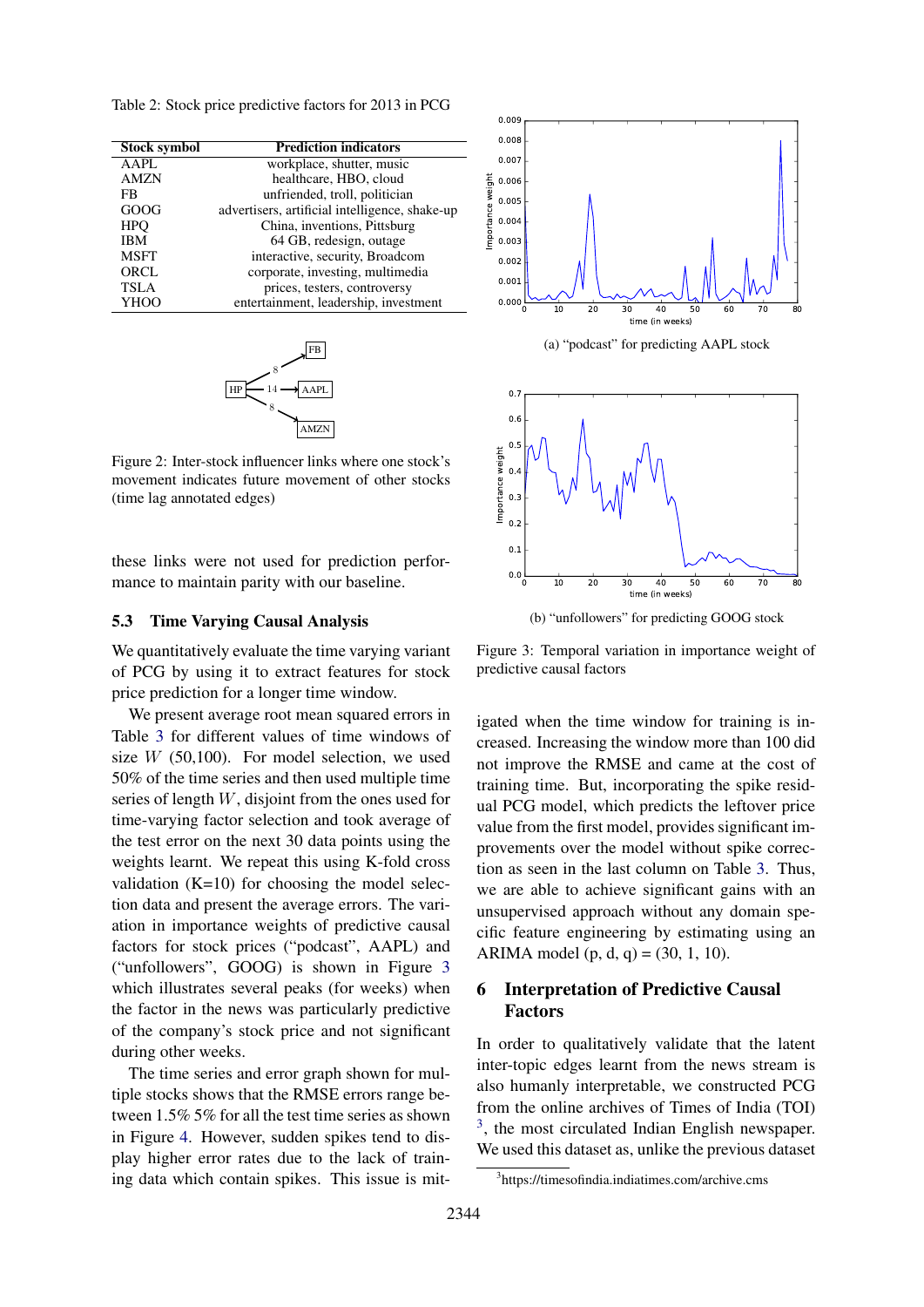<span id="page-6-0"></span>Table 2: Stock price predictive factors for 2013 in PCG

| <b>Stock symbol</b> | <b>Prediction indicators</b>                   |  |  |
|---------------------|------------------------------------------------|--|--|
| AAPL                | workplace, shutter, music                      |  |  |
| <b>AMZN</b>         | healthcare, HBO, cloud                         |  |  |
| FB                  | unfriended, troll, politician                  |  |  |
| GOOG                | advertisers, artificial intelligence, shake-up |  |  |
| <b>HPO</b>          | China, inventions, Pittsburg                   |  |  |
| <b>IBM</b>          | 64 GB, redesign, outage                        |  |  |
| <b>MSFT</b>         | interactive, security, Broadcom                |  |  |
| <b>ORCL</b>         | corporate, investing, multimedia               |  |  |
| <b>TSLA</b>         | prices, testers, controversy                   |  |  |
| <b>YHOO</b>         | entertainment, leadership, investment          |  |  |

<span id="page-6-1"></span>

Figure 2: Inter-stock influencer links where one stock's movement indicates future movement of other stocks (time lag annotated edges)

these links were not used for prediction performance to maintain parity with our baseline.

## 5.3 Time Varying Causal Analysis

We quantitatively evaluate the time varying variant of PCG by using it to extract features for stock price prediction for a longer time window.

We present average root mean squared errors in Table [3](#page-7-0) for different values of time windows of size  $W$  (50,100). For model selection, we used 50% of the time series and then used multiple time series of length W, disjoint from the ones used for time-varying factor selection and took average of the test error on the next 30 data points using the weights learnt. We repeat this using K-fold cross validation  $(K=10)$  for choosing the model selection data and present the average errors. The variation in importance weights of predictive causal factors for stock prices ("podcast", AAPL) and ("unfollowers", GOOG) is shown in Figure [3](#page-6-2) which illustrates several peaks (for weeks) when the factor in the news was particularly predictive of the company's stock price and not significant during other weeks.

The time series and error graph shown for multiple stocks shows that the RMSE errors range between 1.5% 5% for all the test time series as shown in Figure [4.](#page-7-1) However, sudden spikes tend to display higher error rates due to the lack of training data which contain spikes. This issue is mit-

<span id="page-6-2"></span>

(a) "podcast" for predicting AAPL stock



(b) "unfollowers" for predicting GOOG stock

Figure 3: Temporal variation in importance weight of predictive causal factors

igated when the time window for training is increased. Increasing the window more than 100 did not improve the RMSE and came at the cost of training time. But, incorporating the spike residual PCG model, which predicts the leftover price value from the first model, provides significant improvements over the model without spike correction as seen in the last column on Table [3.](#page-7-0) Thus, we are able to achieve significant gains with an unsupervised approach without any domain specific feature engineering by estimating using an ARIMA model  $(p, d, q) = (30, 1, 10)$ .

# 6 Interpretation of Predictive Causal Factors

In order to qualitatively validate that the latent inter-topic edges learnt from the news stream is also humanly interpretable, we constructed PCG from the online archives of Times of India (TOI) <sup>[3](#page-6-3)</sup>, the most circulated Indian English newspaper. We used this dataset as, unlike the previous dataset

<span id="page-6-3"></span><sup>3</sup> https://timesofindia.indiatimes.com/archive.cms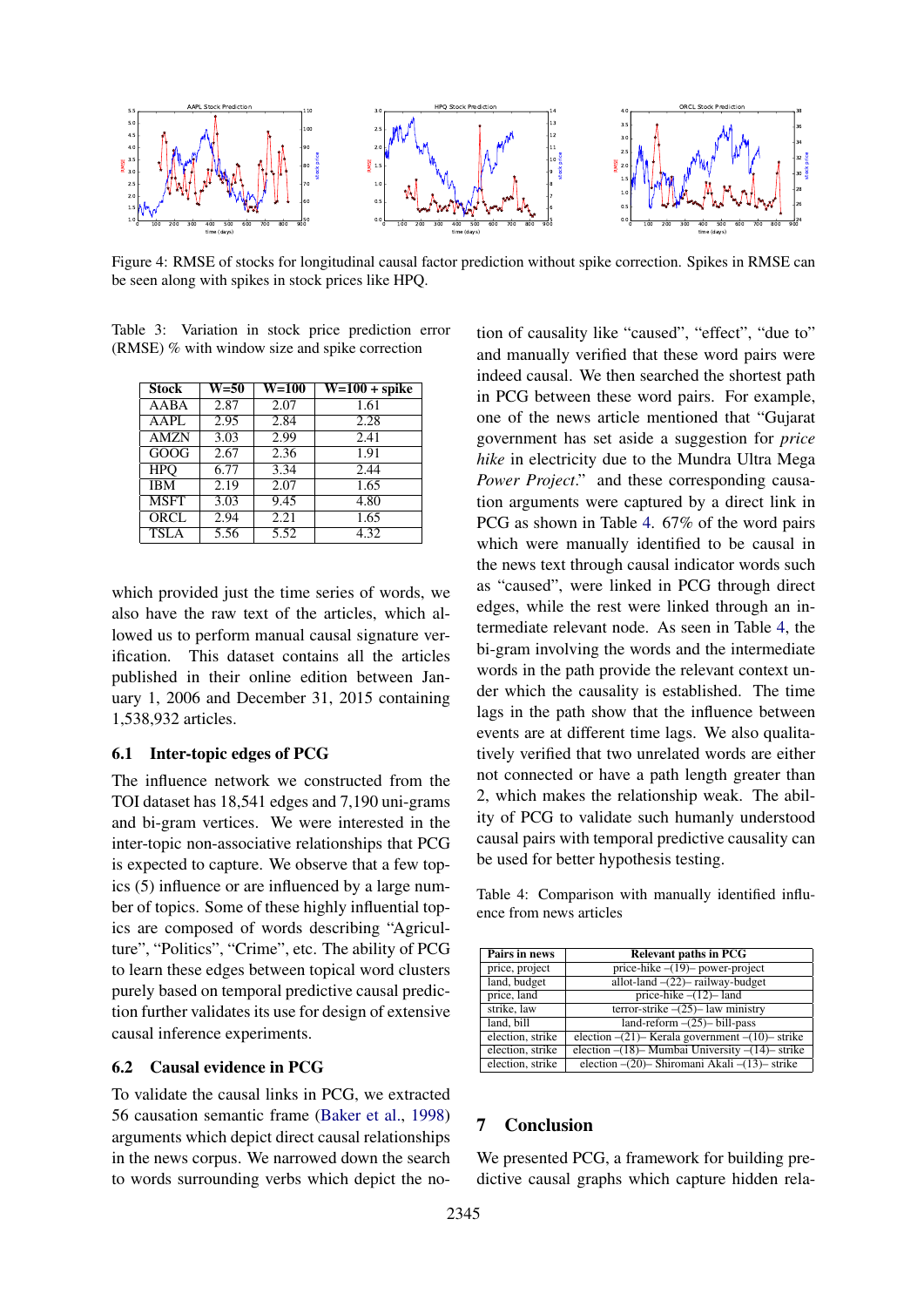<span id="page-7-1"></span>

Figure 4: RMSE of stocks for longitudinal causal factor prediction without spike correction. Spikes in RMSE can be seen along with spikes in stock prices like HPQ.

<span id="page-7-0"></span>Table 3: Variation in stock price prediction error (RMSE) % with window size and spike correction

| <b>Stock</b> | $\overline{W}$ =50 | <b>W=100</b> | $\overline{W=100 + spike}$ |
|--------------|--------------------|--------------|----------------------------|
| AABA         | 2.87               | 2.07         | 1.61                       |
| AAPL         | 2.95               | 2.84         | 2.28                       |
| <b>AMZN</b>  | 3.03               | 2.99         | 2.41                       |
| GOOG         | 2.67               | 2.36         | 1.91                       |
| <b>HPO</b>   | 6.77               | 3.34         | 2.44                       |
| <b>IBM</b>   | 2.19               | 2.07         | 1.65                       |
| <b>MSFT</b>  | 3.03               | 9.45         | 4.80                       |
| <b>ORCL</b>  | 2.94               | 2.21         | 1.65                       |
| <b>TSLA</b>  | 5.56               | 5.52         | 4.32                       |

which provided just the time series of words, we also have the raw text of the articles, which allowed us to perform manual causal signature verification. This dataset contains all the articles published in their online edition between January 1, 2006 and December 31, 2015 containing 1,538,932 articles.

## 6.1 Inter-topic edges of PCG

The influence network we constructed from the TOI dataset has 18,541 edges and 7,190 uni-grams and bi-gram vertices. We were interested in the inter-topic non-associative relationships that PCG is expected to capture. We observe that a few topics (5) influence or are influenced by a large number of topics. Some of these highly influential topics are composed of words describing "Agriculture", "Politics", "Crime", etc. The ability of PCG to learn these edges between topical word clusters purely based on temporal predictive causal prediction further validates its use for design of extensive causal inference experiments.

## 6.2 Causal evidence in PCG

To validate the causal links in PCG, we extracted 56 causation semantic frame [\(Baker et al.,](#page-8-18) [1998\)](#page-8-18) arguments which depict direct causal relationships in the news corpus. We narrowed down the search to words surrounding verbs which depict the notion of causality like "caused", "effect", "due to" and manually verified that these word pairs were indeed causal. We then searched the shortest path in PCG between these word pairs. For example, one of the news article mentioned that "Gujarat government has set aside a suggestion for *price hike* in electricity due to the Mundra Ultra Mega *Power Project*." and these corresponding causation arguments were captured by a direct link in PCG as shown in Table [4.](#page-7-2) 67% of the word pairs which were manually identified to be causal in the news text through causal indicator words such as "caused", were linked in PCG through direct edges, while the rest were linked through an intermediate relevant node. As seen in Table [4,](#page-7-2) the bi-gram involving the words and the intermediate words in the path provide the relevant context under which the causality is established. The time lags in the path show that the influence between events are at different time lags. We also qualitatively verified that two unrelated words are either not connected or have a path length greater than 2, which makes the relationship weak. The ability of PCG to validate such humanly understood causal pairs with temporal predictive causality can be used for better hypothesis testing.

<span id="page-7-2"></span>Table 4: Comparison with manually identified influence from news articles

| Pairs in news    | <b>Relevant paths in PCG</b>                          |
|------------------|-------------------------------------------------------|
| price, project   | price-hike $-(19)$ - power-project                    |
| land, budget     | allot-land $-(22)$ railway-budget                     |
| price, land      | price-hike $-(12)$ - land                             |
| strike, law      | terror-strike $-(25)$ - law ministry                  |
| land, bill       | $land-reform$ – $(25)$ – bill-pass                    |
| election, strike | election $-(21)$ - Kerala government $-(10)$ - strike |
| election, strike | election $-(18)$ – Mumbai University $-(14)$ – strike |
| election, strike | election $-(20)$ - Shiromani Akali $-(13)$ - strike   |

# 7 Conclusion

We presented PCG, a framework for building predictive causal graphs which capture hidden rela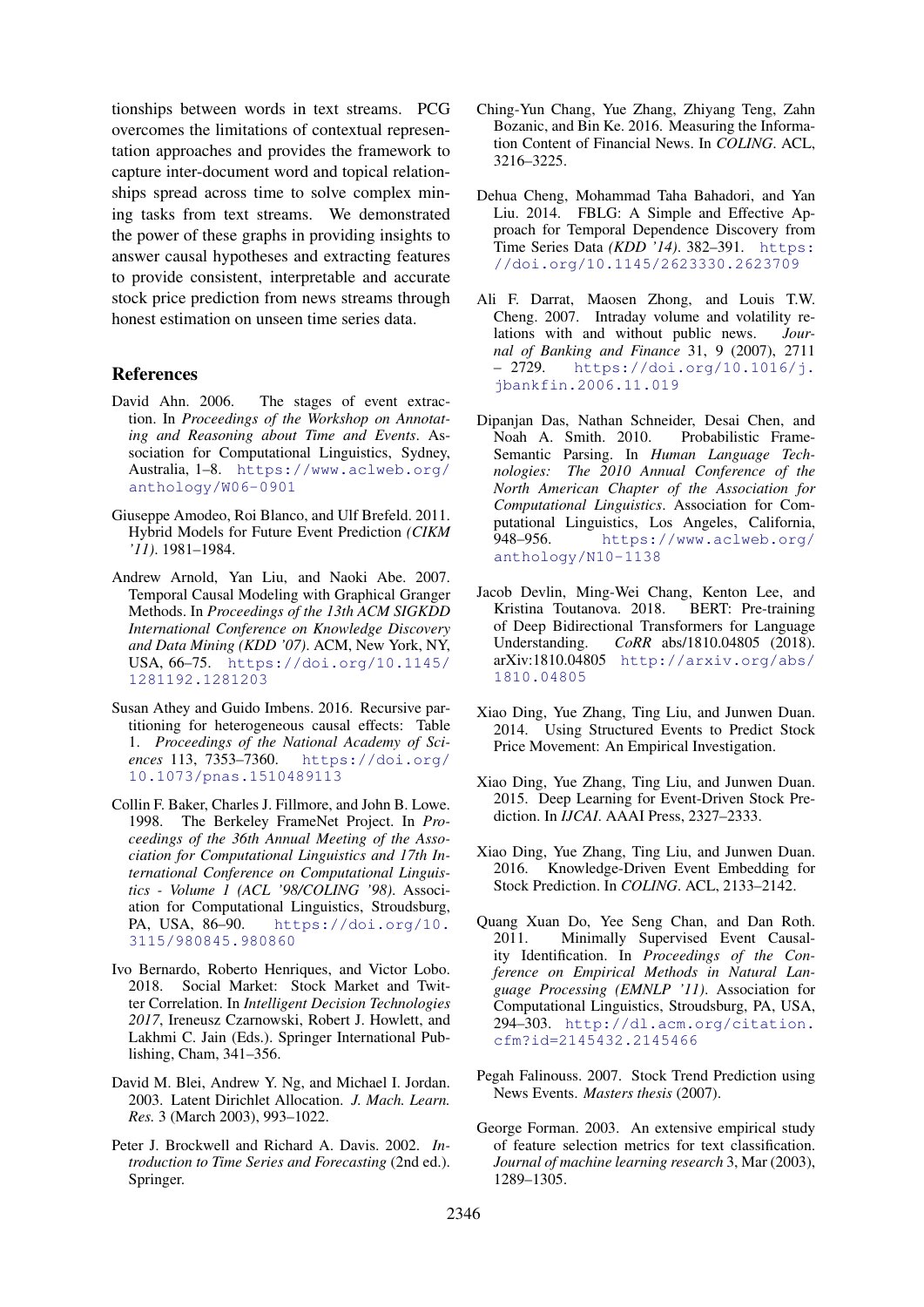tionships between words in text streams. PCG overcomes the limitations of contextual representation approaches and provides the framework to capture inter-document word and topical relationships spread across time to solve complex mining tasks from text streams. We demonstrated the power of these graphs in providing insights to answer causal hypotheses and extracting features to provide consistent, interpretable and accurate stock price prediction from news streams through honest estimation on unseen time series data.

## References

- <span id="page-8-16"></span>David Ahn. 2006. The stages of event extraction. In *Proceedings of the Workshop on Annotating and Reasoning about Time and Events*. Association for Computational Linguistics, Sydney, Australia, 1–8. [https://www.aclweb.org/](https://www.aclweb.org/anthology/W06-0901) [anthology/W06-0901](https://www.aclweb.org/anthology/W06-0901)
- <span id="page-8-9"></span>Giuseppe Amodeo, Roi Blanco, and Ulf Brefeld. 2011. Hybrid Models for Future Event Prediction *(CIKM '11)*. 1981–1984.
- <span id="page-8-4"></span>Andrew Arnold, Yan Liu, and Naoki Abe. 2007. Temporal Causal Modeling with Graphical Granger Methods. In *Proceedings of the 13th ACM SIGKDD International Conference on Knowledge Discovery and Data Mining (KDD '07)*. ACM, New York, NY, USA, 66–75. [https://doi.org/10.1145/](https://doi.org/10.1145/1281192.1281203) [1281192.1281203](https://doi.org/10.1145/1281192.1281203)
- <span id="page-8-5"></span>Susan Athey and Guido Imbens. 2016. Recursive partitioning for heterogeneous causal effects: Table 1. *Proceedings of the National Academy of Sciences* 113, 7353–7360. [https://doi.org/](https://doi.org/10.1073/pnas.1510489113) [10.1073/pnas.1510489113](https://doi.org/10.1073/pnas.1510489113)
- <span id="page-8-18"></span>Collin F. Baker, Charles J. Fillmore, and John B. Lowe. 1998. The Berkeley FrameNet Project. In *Proceedings of the 36th Annual Meeting of the Association for Computational Linguistics and 17th International Conference on Computational Linguistics - Volume 1 (ACL '98/COLING '98)*. Association for Computational Linguistics, Stroudsburg, PA, USA, 86–90. [https://doi.org/10.](https://doi.org/10.3115/980845.980860) [3115/980845.980860](https://doi.org/10.3115/980845.980860)
- <span id="page-8-2"></span>Ivo Bernardo, Roberto Henriques, and Victor Lobo. 2018. Social Market: Stock Market and Twitter Correlation. In *Intelligent Decision Technologies 2017*, Ireneusz Czarnowski, Robert J. Howlett, and Lakhmi C. Jain (Eds.). Springer International Publishing, Cham, 341–356.
- <span id="page-8-17"></span>David M. Blei, Andrew Y. Ng, and Michael I. Jordan. 2003. Latent Dirichlet Allocation. *J. Mach. Learn. Res.* 3 (March 2003), 993–1022.
- <span id="page-8-6"></span>Peter J. Brockwell and Richard A. Davis. 2002. *Introduction to Time Series and Forecasting* (2nd ed.). Springer.
- <span id="page-8-13"></span>Ching-Yun Chang, Yue Zhang, Zhiyang Teng, Zahn Bozanic, and Bin Ke. 2016. Measuring the Information Content of Financial News. In *COLING*. ACL, 3216–3225.
- <span id="page-8-10"></span>Dehua Cheng, Mohammad Taha Bahadori, and Yan Liu. 2014. FBLG: A Simple and Effective Approach for Temporal Dependence Discovery from Time Series Data *(KDD '14)*. 382–391. [https:](https://doi.org/10.1145/2623330.2623709) [//doi.org/10.1145/2623330.2623709](https://doi.org/10.1145/2623330.2623709)
- <span id="page-8-7"></span>Ali F. Darrat, Maosen Zhong, and Louis T.W. Cheng. 2007. Intraday volume and volatility relations with and without public news. *Journal of Banking and Finance* 31, 9 (2007), 2711 – 2729. [https://doi.org/10.1016/j.](https://doi.org/10.1016/j.jbankfin.2006.11.019) [jbankfin.2006.11.019](https://doi.org/10.1016/j.jbankfin.2006.11.019)
- <span id="page-8-3"></span>Dipanjan Das, Nathan Schneider, Desai Chen, and Noah A. Smith. 2010. Probabilistic Frame-Semantic Parsing. In *Human Language Technologies: The 2010 Annual Conference of the North American Chapter of the Association for Computational Linguistics*. Association for Computational Linguistics, Los Angeles, California, 948–956. [https://www.aclweb.org/](https://www.aclweb.org/anthology/N10-1138) [anthology/N10-1138](https://www.aclweb.org/anthology/N10-1138)
- <span id="page-8-0"></span>Jacob Devlin, Ming-Wei Chang, Kenton Lee, and Kristina Toutanova. 2018. BERT: Pre-training of Deep Bidirectional Transformers for Language Understanding. *CoRR* abs/1810.04805 (2018). arXiv:1810.04805 [http://arxiv.org/abs/](http://arxiv.org/abs/1810.04805) [1810.04805](http://arxiv.org/abs/1810.04805)
- <span id="page-8-11"></span>Xiao Ding, Yue Zhang, Ting Liu, and Junwen Duan. 2014. Using Structured Events to Predict Stock Price Movement: An Empirical Investigation.
- <span id="page-8-12"></span>Xiao Ding, Yue Zhang, Ting Liu, and Junwen Duan. 2015. Deep Learning for Event-Driven Stock Prediction. In *IJCAI*. AAAI Press, 2327–2333.
- <span id="page-8-14"></span>Xiao Ding, Yue Zhang, Ting Liu, and Junwen Duan. 2016. Knowledge-Driven Event Embedding for Stock Prediction. In *COLING*. ACL, 2133–2142.
- <span id="page-8-8"></span>Quang Xuan Do, Yee Seng Chan, and Dan Roth. 2011. Minimally Supervised Event Causality Identification. In *Proceedings of the Conference on Empirical Methods in Natural Language Processing (EMNLP '11)*. Association for Computational Linguistics, Stroudsburg, PA, USA, 294–303. [http://dl.acm.org/citation.](http://dl.acm.org/citation.cfm?id=2145432.2145466) [cfm?id=2145432.2145466](http://dl.acm.org/citation.cfm?id=2145432.2145466)
- <span id="page-8-1"></span>Pegah Falinouss. 2007. Stock Trend Prediction using News Events. *Masters thesis* (2007).
- <span id="page-8-15"></span>George Forman. 2003. An extensive empirical study of feature selection metrics for text classification. *Journal of machine learning research* 3, Mar (2003), 1289–1305.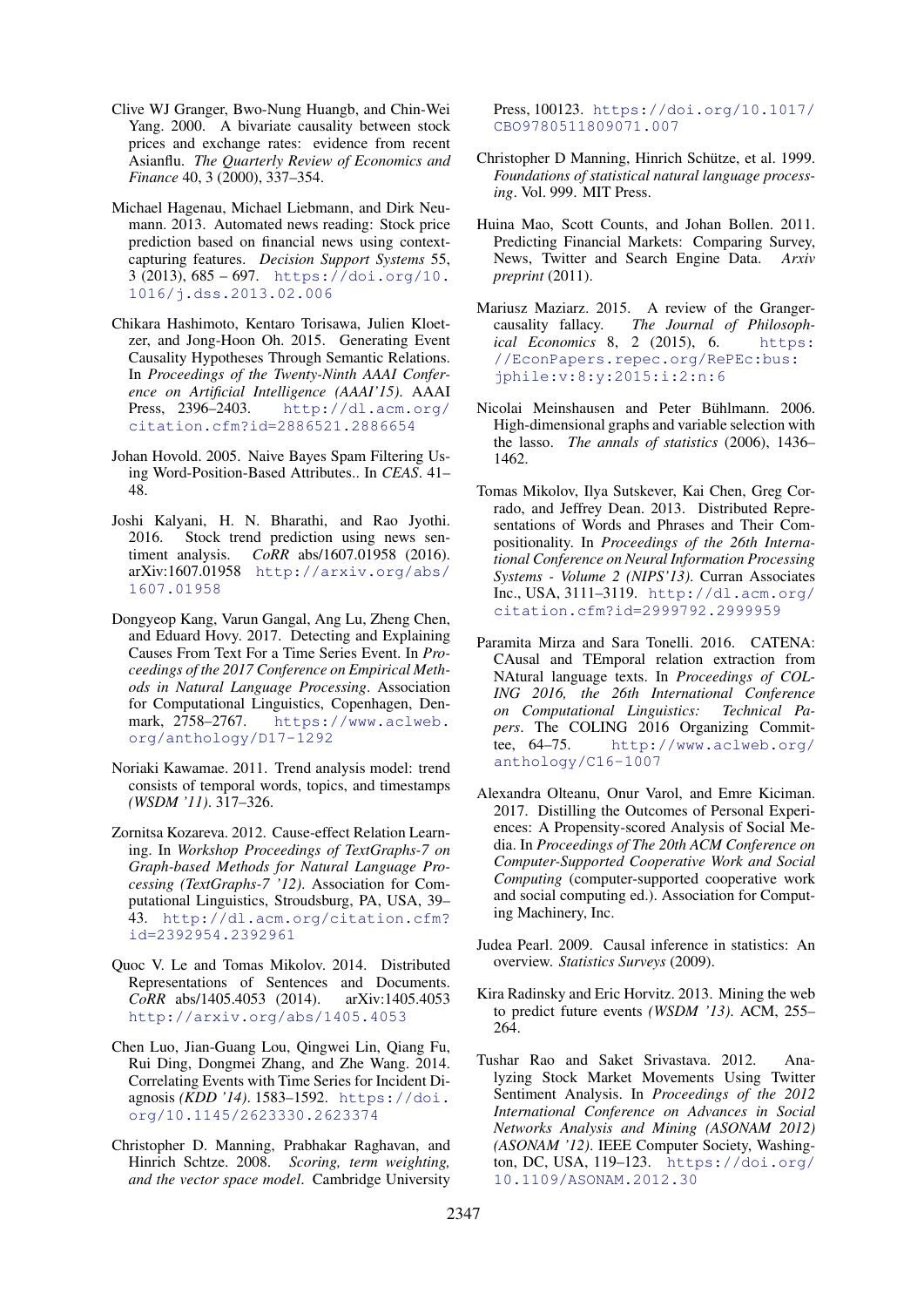- <span id="page-9-6"></span>Clive WJ Granger, Bwo-Nung Huangb, and Chin-Wei Yang. 2000. A bivariate causality between stock prices and exchange rates: evidence from recent Asianflu. *The Quarterly Review of Economics and Finance* 40, 3 (2000), 337–354.
- <span id="page-9-1"></span>Michael Hagenau, Michael Liebmann, and Dirk Neumann. 2013. Automated news reading: Stock price prediction based on financial news using contextcapturing features. *Decision Support Systems* 55, 3 (2013), 685 – 697. [https://doi.org/10.](https://doi.org/10.1016/j.dss.2013.02.006) [1016/j.dss.2013.02.006](https://doi.org/10.1016/j.dss.2013.02.006)
- <span id="page-9-10"></span>Chikara Hashimoto, Kentaro Torisawa, Julien Kloetzer, and Jong-Hoon Oh. 2015. Generating Event Causality Hypotheses Through Semantic Relations. In *Proceedings of the Twenty-Ninth AAAI Conference on Artificial Intelligence (AAAI'15)*. AAAI Press, 2396–2403. [http://dl.acm.org/](http://dl.acm.org/citation.cfm?id=2886521.2886654) [citation.cfm?id=2886521.2886654](http://dl.acm.org/citation.cfm?id=2886521.2886654)
- <span id="page-9-18"></span>Johan Hovold. 2005. Naive Bayes Spam Filtering Using Word-Position-Based Attributes.. In *CEAS*. 41– 48.
- <span id="page-9-4"></span>Joshi Kalyani, H. N. Bharathi, and Rao Jyothi. 2016. Stock trend prediction using news sentiment analysis. *CoRR* abs/1607.01958 (2016). arXiv:1607.01958 [http://arxiv.org/abs/](http://arxiv.org/abs/1607.01958) [1607.01958](http://arxiv.org/abs/1607.01958)
- <span id="page-9-8"></span>Dongyeop Kang, Varun Gangal, Ang Lu, Zheng Chen, and Eduard Hovy. 2017. Detecting and Explaining Causes From Text For a Time Series Event. In *Proceedings of the 2017 Conference on Empirical Methods in Natural Language Processing*. Association for Computational Linguistics, Copenhagen, Denmark, 2758–2767. [https://www.aclweb.](https://www.aclweb.org/anthology/D17-1292) [org/anthology/D17-1292](https://www.aclweb.org/anthology/D17-1292)
- <span id="page-9-14"></span>Noriaki Kawamae. 2011. Trend analysis model: trend consists of temporal words, topics, and timestamps *(WSDM '11)*. 317–326.
- <span id="page-9-11"></span>Zornitsa Kozareva. 2012. Cause-effect Relation Learning. In *Workshop Proceedings of TextGraphs-7 on Graph-based Methods for Natural Language Processing (TextGraphs-7 '12)*. Association for Computational Linguistics, Stroudsburg, PA, USA, 39– 43. [http://dl.acm.org/citation.cfm?](http://dl.acm.org/citation.cfm?id=2392954.2392961) [id=2392954.2392961](http://dl.acm.org/citation.cfm?id=2392954.2392961)
- <span id="page-9-0"></span>Quoc V. Le and Tomas Mikolov. 2014. Distributed Representations of Sentences and Documents. *CoRR* abs/1405.4053 (2014). arXiv:1405.4053 <http://arxiv.org/abs/1405.4053>
- <span id="page-9-13"></span>Chen Luo, Jian-Guang Lou, Qingwei Lin, Qiang Fu, Rui Ding, Dongmei Zhang, and Zhe Wang. 2014. Correlating Events with Time Series for Incident Diagnosis *(KDD '14)*. 1583–1592. [https://doi.](https://doi.org/10.1145/2623330.2623374) [org/10.1145/2623330.2623374](https://doi.org/10.1145/2623330.2623374)
- <span id="page-9-19"></span>Christopher D. Manning, Prabhakar Raghavan, and Hinrich Schtze. 2008. *Scoring, term weighting, and the vector space model*. Cambridge University

Press, 100123. [https://doi.org/10.1017/](https://doi.org/10.1017/CBO9780511809071.007) [CBO9780511809071.007](https://doi.org/10.1017/CBO9780511809071.007)

- <span id="page-9-17"></span>Christopher D Manning, Hinrich Schütze, et al. 1999. *Foundations of statistical natural language processing*. Vol. 999. MIT Press.
- <span id="page-9-2"></span>Huina Mao, Scott Counts, and Johan Bollen. 2011. Predicting Financial Markets: Comparing Survey, News, Twitter and Search Engine Data. *Arxiv preprint* (2011).
- <span id="page-9-7"></span>Mariusz Maziarz. 2015. A review of the Grangercausality fallacy. *The Journal of Philosophical Economics* 8, 2 (2015), 6. [https:](https://EconPapers.repec.org/RePEc:bus:jphile:v:8:y:2015:i:2:n:6) [//EconPapers.repec.org/RePEc:bus:](https://EconPapers.repec.org/RePEc:bus:jphile:v:8:y:2015:i:2:n:6) [jphile:v:8:y:2015:i:2:n:6](https://EconPapers.repec.org/RePEc:bus:jphile:v:8:y:2015:i:2:n:6)
- <span id="page-9-20"></span>Nicolai Meinshausen and Peter Bühlmann. 2006. High-dimensional graphs and variable selection with the lasso. *The annals of statistics* (2006), 1436– 1462.
- <span id="page-9-5"></span>Tomas Mikolov, Ilya Sutskever, Kai Chen, Greg Corrado, and Jeffrey Dean. 2013. Distributed Representations of Words and Phrases and Their Compositionality. In *Proceedings of the 26th International Conference on Neural Information Processing Systems - Volume 2 (NIPS'13)*. Curran Associates Inc., USA, 3111–3119. [http://dl.acm.org/](http://dl.acm.org/citation.cfm?id=2999792.2999959) [citation.cfm?id=2999792.2999959](http://dl.acm.org/citation.cfm?id=2999792.2999959)
- <span id="page-9-12"></span>Paramita Mirza and Sara Tonelli. 2016. CATENA: CAusal and TEmporal relation extraction from NAtural language texts. In *Proceedings of COL-ING 2016, the 26th International Conference on Computational Linguistics: Technical Papers*. The COLING 2016 Organizing Committee, 64–75. [http://www.aclweb.org/](http://www.aclweb.org/anthology/C16-1007) [anthology/C16-1007](http://www.aclweb.org/anthology/C16-1007)
- <span id="page-9-16"></span>Alexandra Olteanu, Onur Varol, and Emre Kiciman. 2017. Distilling the Outcomes of Personal Experiences: A Propensity-scored Analysis of Social Media. In *Proceedings of The 20th ACM Conference on Computer-Supported Cooperative Work and Social Computing* (computer-supported cooperative work and social computing ed.). Association for Computing Machinery, Inc.
- <span id="page-9-15"></span>Judea Pearl. 2009. Causal inference in statistics: An overview. *Statistics Surveys* (2009).
- <span id="page-9-9"></span>Kira Radinsky and Eric Horvitz. 2013. Mining the web to predict future events *(WSDM '13)*. ACM, 255– 264.
- <span id="page-9-3"></span>Tushar Rao and Saket Srivastava. 2012. Analyzing Stock Market Movements Using Twitter Sentiment Analysis. In *Proceedings of the 2012 International Conference on Advances in Social Networks Analysis and Mining (ASONAM 2012) (ASONAM '12)*. IEEE Computer Society, Washington, DC, USA, 119–123. [https://doi.org/](https://doi.org/10.1109/ASONAM.2012.30) [10.1109/ASONAM.2012.30](https://doi.org/10.1109/ASONAM.2012.30)